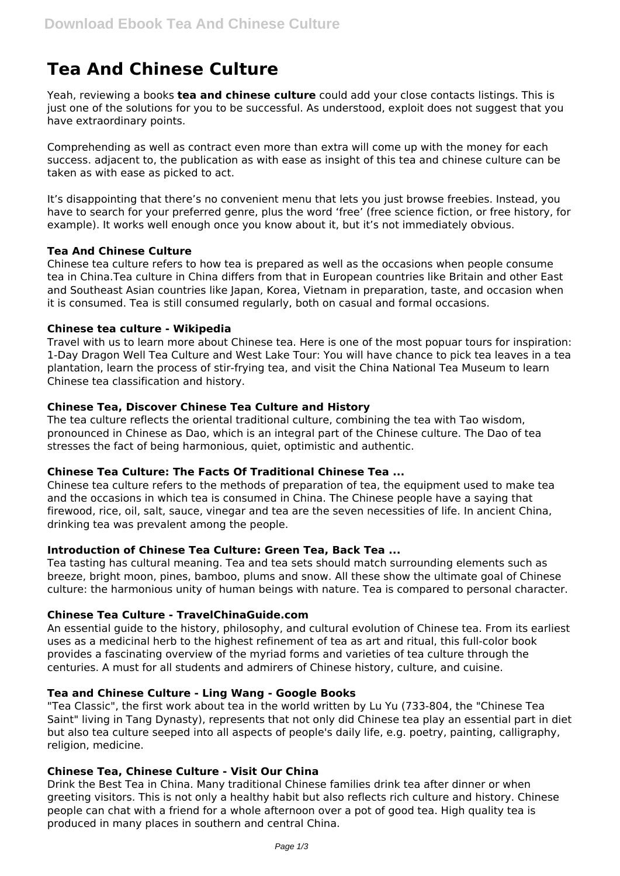# **Tea And Chinese Culture**

Yeah, reviewing a books **tea and chinese culture** could add your close contacts listings. This is just one of the solutions for you to be successful. As understood, exploit does not suggest that you have extraordinary points.

Comprehending as well as contract even more than extra will come up with the money for each success. adjacent to, the publication as with ease as insight of this tea and chinese culture can be taken as with ease as picked to act.

It's disappointing that there's no convenient menu that lets you just browse freebies. Instead, you have to search for your preferred genre, plus the word 'free' (free science fiction, or free history, for example). It works well enough once you know about it, but it's not immediately obvious.

## **Tea And Chinese Culture**

Chinese tea culture refers to how tea is prepared as well as the occasions when people consume tea in China.Tea culture in China differs from that in European countries like Britain and other East and Southeast Asian countries like Japan, Korea, Vietnam in preparation, taste, and occasion when it is consumed. Tea is still consumed regularly, both on casual and formal occasions.

## **Chinese tea culture - Wikipedia**

Travel with us to learn more about Chinese tea. Here is one of the most popuar tours for inspiration: 1-Day Dragon Well Tea Culture and West Lake Tour: You will have chance to pick tea leaves in a tea plantation, learn the process of stir-frying tea, and visit the China National Tea Museum to learn Chinese tea classification and history.

## **Chinese Tea, Discover Chinese Tea Culture and History**

The tea culture reflects the oriental traditional culture, combining the tea with Tao wisdom, pronounced in Chinese as Dao, which is an integral part of the Chinese culture. The Dao of tea stresses the fact of being harmonious, quiet, optimistic and authentic.

# **Chinese Tea Culture: The Facts Of Traditional Chinese Tea ...**

Chinese tea culture refers to the methods of preparation of tea, the equipment used to make tea and the occasions in which tea is consumed in China. The Chinese people have a saying that firewood, rice, oil, salt, sauce, vinegar and tea are the seven necessities of life. In ancient China, drinking tea was prevalent among the people.

# **Introduction of Chinese Tea Culture: Green Tea, Back Tea ...**

Tea tasting has cultural meaning. Tea and tea sets should match surrounding elements such as breeze, bright moon, pines, bamboo, plums and snow. All these show the ultimate goal of Chinese culture: the harmonious unity of human beings with nature. Tea is compared to personal character.

#### **Chinese Tea Culture - TravelChinaGuide.com**

An essential guide to the history, philosophy, and cultural evolution of Chinese tea. From its earliest uses as a medicinal herb to the highest refinement of tea as art and ritual, this full-color book provides a fascinating overview of the myriad forms and varieties of tea culture through the centuries. A must for all students and admirers of Chinese history, culture, and cuisine.

#### **Tea and Chinese Culture - Ling Wang - Google Books**

"Tea Classic", the first work about tea in the world written by Lu Yu (733-804, the "Chinese Tea Saint" living in Tang Dynasty), represents that not only did Chinese tea play an essential part in diet but also tea culture seeped into all aspects of people's daily life, e.g. poetry, painting, calligraphy, religion, medicine.

#### **Chinese Tea, Chinese Culture - Visit Our China**

Drink the Best Tea in China. Many traditional Chinese families drink tea after dinner or when greeting visitors. This is not only a healthy habit but also reflects rich culture and history. Chinese people can chat with a friend for a whole afternoon over a pot of good tea. High quality tea is produced in many places in southern and central China.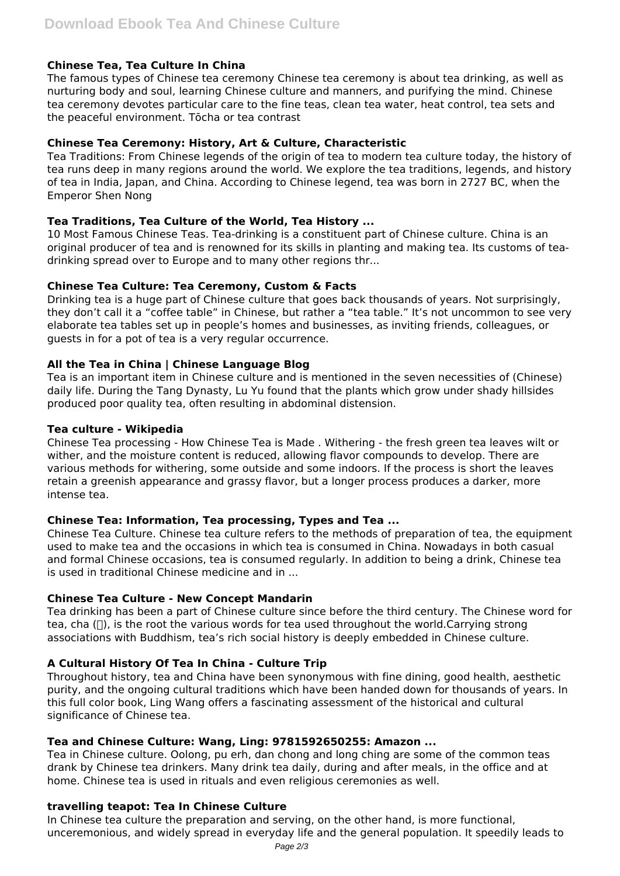# **Chinese Tea, Tea Culture In China**

The famous types of Chinese tea ceremony Chinese tea ceremony is about tea drinking, as well as nurturing body and soul, learning Chinese culture and manners, and purifying the mind. Chinese tea ceremony devotes particular care to the fine teas, clean tea water, heat control, tea sets and the peaceful environment. Tōcha or tea contrast

## **Chinese Tea Ceremony: History, Art & Culture, Characteristic**

Tea Traditions: From Chinese legends of the origin of tea to modern tea culture today, the history of tea runs deep in many regions around the world. We explore the tea traditions, legends, and history of tea in India, Japan, and China. According to Chinese legend, tea was born in 2727 BC, when the Emperor Shen Nong

## **Tea Traditions, Tea Culture of the World, Tea History ...**

10 Most Famous Chinese Teas. Tea-drinking is a constituent part of Chinese culture. China is an original producer of tea and is renowned for its skills in planting and making tea. Its customs of teadrinking spread over to Europe and to many other regions thr...

## **Chinese Tea Culture: Tea Ceremony, Custom & Facts**

Drinking tea is a huge part of Chinese culture that goes back thousands of years. Not surprisingly, they don't call it a "coffee table" in Chinese, but rather a "tea table." It's not uncommon to see very elaborate tea tables set up in people's homes and businesses, as inviting friends, colleagues, or guests in for a pot of tea is a very regular occurrence.

## **All the Tea in China | Chinese Language Blog**

Tea is an important item in Chinese culture and is mentioned in the seven necessities of (Chinese) daily life. During the Tang Dynasty, Lu Yu found that the plants which grow under shady hillsides produced poor quality tea, often resulting in abdominal distension.

## **Tea culture - Wikipedia**

Chinese Tea processing - How Chinese Tea is Made . Withering - the fresh green tea leaves wilt or wither, and the moisture content is reduced, allowing flavor compounds to develop. There are various methods for withering, some outside and some indoors. If the process is short the leaves retain a greenish appearance and grassy flavor, but a longer process produces a darker, more intense tea.

# **Chinese Tea: Information, Tea processing, Types and Tea ...**

Chinese Tea Culture. Chinese tea culture refers to the methods of preparation of tea, the equipment used to make tea and the occasions in which tea is consumed in China. Nowadays in both casual and formal Chinese occasions, tea is consumed regularly. In addition to being a drink, Chinese tea is used in traditional Chinese medicine and in ...

# **Chinese Tea Culture - New Concept Mandarin**

Tea drinking has been a part of Chinese culture since before the third century. The Chinese word for tea, cha  $\Box$ ), is the root the various words for tea used throughout the world.Carrying strong associations with Buddhism, tea's rich social history is deeply embedded in Chinese culture.

# **A Cultural History Of Tea In China - Culture Trip**

Throughout history, tea and China have been synonymous with fine dining, good health, aesthetic purity, and the ongoing cultural traditions which have been handed down for thousands of years. In this full color book, Ling Wang offers a fascinating assessment of the historical and cultural significance of Chinese tea.

#### **Tea and Chinese Culture: Wang, Ling: 9781592650255: Amazon ...**

Tea in Chinese culture. Oolong, pu erh, dan chong and long ching are some of the common teas drank by Chinese tea drinkers. Many drink tea daily, during and after meals, in the office and at home. Chinese tea is used in rituals and even religious ceremonies as well.

# **travelling teapot: Tea In Chinese Culture**

In Chinese tea culture the preparation and serving, on the other hand, is more functional, unceremonious, and widely spread in everyday life and the general population. It speedily leads to